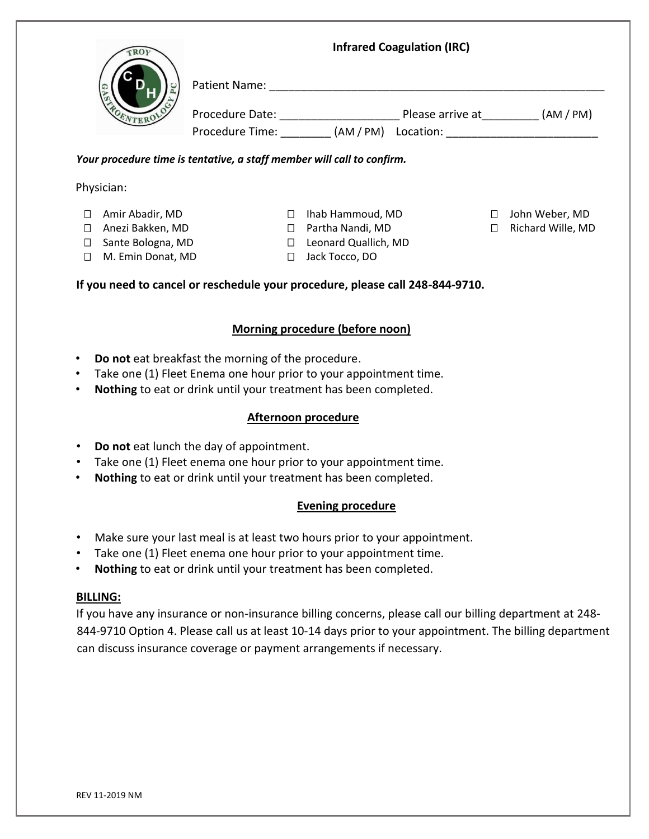|                             | <b>Infrared Coagulation (IRC)</b>                                                                                                                                                           |                            |  |  |                     |
|-----------------------------|---------------------------------------------------------------------------------------------------------------------------------------------------------------------------------------------|----------------------------|--|--|---------------------|
|                             |                                                                                                                                                                                             |                            |  |  |                     |
|                             |                                                                                                                                                                                             |                            |  |  |                     |
|                             | Procedure Time: _________ (AM / PM) Location: __________________________________                                                                                                            |                            |  |  |                     |
|                             | Your procedure time is tentative, a staff member will call to confirm.                                                                                                                      |                            |  |  |                     |
| Physician:                  |                                                                                                                                                                                             |                            |  |  |                     |
| □ Amir Abadir, MD           |                                                                                                                                                                                             | □ Ihab Hammoud, MD         |  |  | □ John Weber, MD    |
| □ Anezi Bakken, MD          |                                                                                                                                                                                             | □ Partha Nandi, MD         |  |  | □ Richard Wille, MD |
| □ Sante Bologna, MD         |                                                                                                                                                                                             | □ Leonard Quallich, MD     |  |  |                     |
| M. Emin Donat, MD<br>$\Box$ |                                                                                                                                                                                             | □ Jack Tocco, DO           |  |  |                     |
| $\bullet$                   | Do not eat breakfast the morning of the procedure.<br>Take one (1) Fleet Enema one hour prior to your appointment time.<br>Nothing to eat or drink until your treatment has been completed. |                            |  |  |                     |
|                             |                                                                                                                                                                                             | <b>Afternoon procedure</b> |  |  |                     |
| $\bullet$                   | Do not eat lunch the day of appointment.                                                                                                                                                    |                            |  |  |                     |
| $\bullet$                   | Take one (1) Fleet enema one hour prior to your appointment time.                                                                                                                           |                            |  |  |                     |
|                             | Nothing to eat or drink until your treatment has been completed.                                                                                                                            |                            |  |  |                     |
|                             |                                                                                                                                                                                             | <b>Evening procedure</b>   |  |  |                     |
| $\bullet$                   | Make sure your last meal is at least two hours prior to your appointment.                                                                                                                   |                            |  |  |                     |
| $\bullet$                   | Take one (1) Fleet enema one hour prior to your appointment time.                                                                                                                           |                            |  |  |                     |
| $\bullet$                   | Nothing to eat or drink until your treatment has been completed.                                                                                                                            |                            |  |  |                     |

## **BILLING:**

If you have any insurance or non-insurance billing concerns, please call our billing department at 248- 844-9710 Option 4. Please call us at least 10-14 days prior to your appointment. The billing department can discuss insurance coverage or payment arrangements if necessary.